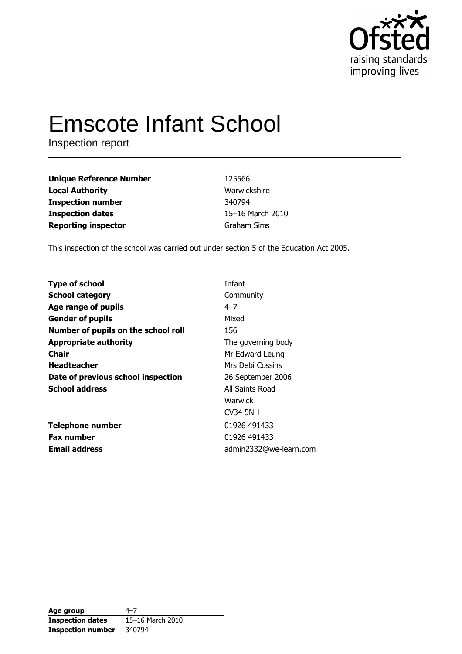

# **Emscote Infant School**

Inspection report

| <b>Unique Reference Number</b> | 125566           |
|--------------------------------|------------------|
| <b>Local Authority</b>         | Warwickshire     |
| <b>Inspection number</b>       | 340794           |
| <b>Inspection dates</b>        | 15-16 March 2010 |
| <b>Reporting inspector</b>     | Graham Sims      |

This inspection of the school was carried out under section 5 of the Education Act 2005.

| <b>Type of school</b>               | Infant                 |
|-------------------------------------|------------------------|
| <b>School category</b>              | Community              |
| Age range of pupils                 | $4 - 7$                |
| <b>Gender of pupils</b>             | Mixed                  |
| Number of pupils on the school roll | 156                    |
| <b>Appropriate authority</b>        | The governing body     |
| Chair                               | Mr Edward Leung        |
| <b>Headteacher</b>                  | Mrs Debi Cossins       |
| Date of previous school inspection  | 26 September 2006      |
| <b>School address</b>               | All Saints Road        |
|                                     | Warwick                |
|                                     | <b>CV34 5NH</b>        |
| <b>Telephone number</b>             | 01926 491433           |
| <b>Fax number</b>                   | 01926 491433           |
| <b>Email address</b>                | admin2332@we-learn.com |
|                                     |                        |

| Age group                | 4–7              |
|--------------------------|------------------|
| <b>Inspection dates</b>  | 15-16 March 2010 |
| <b>Inspection number</b> | 340794           |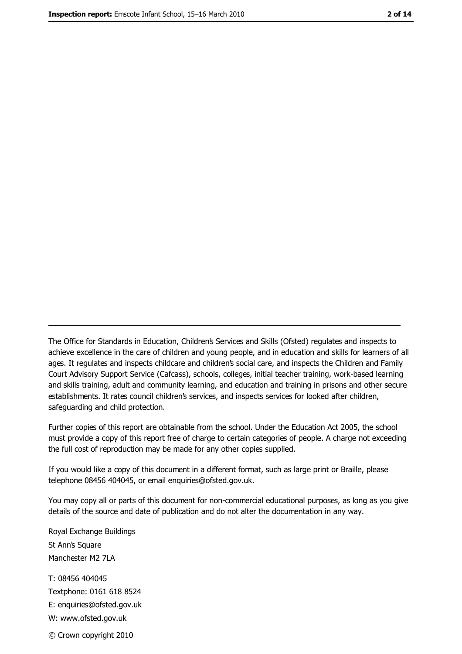The Office for Standards in Education, Children's Services and Skills (Ofsted) regulates and inspects to achieve excellence in the care of children and young people, and in education and skills for learners of all ages. It regulates and inspects childcare and children's social care, and inspects the Children and Family Court Advisory Support Service (Cafcass), schools, colleges, initial teacher training, work-based learning and skills training, adult and community learning, and education and training in prisons and other secure establishments. It rates council children's services, and inspects services for looked after children, safequarding and child protection.

Further copies of this report are obtainable from the school. Under the Education Act 2005, the school must provide a copy of this report free of charge to certain categories of people. A charge not exceeding the full cost of reproduction may be made for any other copies supplied.

If you would like a copy of this document in a different format, such as large print or Braille, please telephone 08456 404045, or email enquiries@ofsted.gov.uk.

You may copy all or parts of this document for non-commercial educational purposes, as long as you give details of the source and date of publication and do not alter the documentation in any way.

Royal Exchange Buildings St Ann's Square Manchester M2 7LA T: 08456 404045 Textphone: 0161 618 8524 E: enquiries@ofsted.gov.uk W: www.ofsted.gov.uk © Crown copyright 2010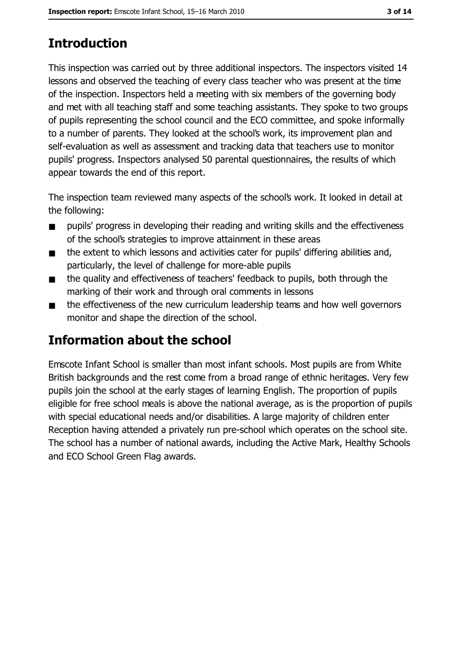# **Introduction**

This inspection was carried out by three additional inspectors. The inspectors visited 14 lessons and observed the teaching of every class teacher who was present at the time of the inspection. Inspectors held a meeting with six members of the governing body and met with all teaching staff and some teaching assistants. They spoke to two groups of pupils representing the school council and the ECO committee, and spoke informally to a number of parents. They looked at the school's work, its improvement plan and self-evaluation as well as assessment and tracking data that teachers use to monitor pupils' progress. Inspectors analysed 50 parental questionnaires, the results of which appear towards the end of this report.

The inspection team reviewed many aspects of the school's work. It looked in detail at the following:

- pupils' progress in developing their reading and writing skills and the effectiveness  $\blacksquare$ of the school's strategies to improve attainment in these areas
- the extent to which lessons and activities cater for pupils' differing abilities and,  $\blacksquare$ particularly, the level of challenge for more-able pupils
- the quality and effectiveness of teachers' feedback to pupils, both through the  $\blacksquare$ marking of their work and through oral comments in lessons
- the effectiveness of the new curriculum leadership teams and how well governors  $\blacksquare$ monitor and shape the direction of the school.

# Information about the school

Emscote Infant School is smaller than most infant schools. Most pupils are from White British backgrounds and the rest come from a broad range of ethnic heritages. Very few pupils join the school at the early stages of learning English. The proportion of pupils eligible for free school meals is above the national average, as is the proportion of pupils with special educational needs and/or disabilities. A large majority of children enter Reception having attended a privately run pre-school which operates on the school site. The school has a number of national awards, including the Active Mark, Healthy Schools and ECO School Green Flag awards.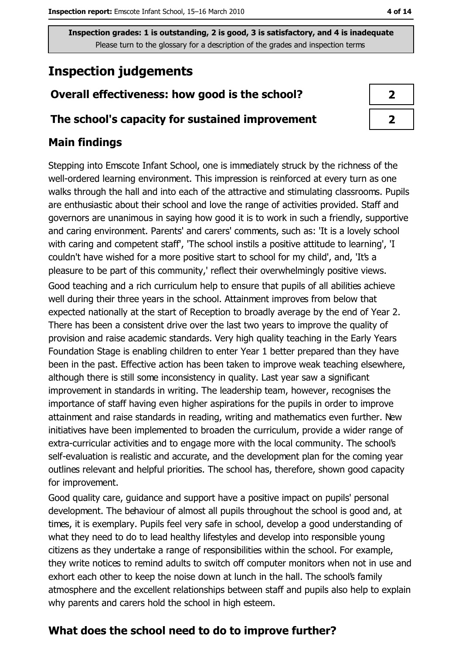# **Inspection judgements**

# Overall effectiveness: how good is the school?

#### The school's capacity for sustained improvement

## **Main findings**

Stepping into Emscote Infant School, one is immediately struck by the richness of the well-ordered learning environment. This impression is reinforced at every turn as one walks through the hall and into each of the attractive and stimulating classrooms. Pupils are enthusiastic about their school and love the range of activities provided. Staff and governors are unanimous in saying how good it is to work in such a friendly, supportive and caring environment. Parents' and carers' comments, such as: 'It is a lovely school with caring and competent staff, 'The school instils a positive attitude to learning', 'I couldn't have wished for a more positive start to school for my child', and, 'It's a pleasure to be part of this community,' reflect their overwhelmingly positive views. Good teaching and a rich curriculum help to ensure that pupils of all abilities achieve well during their three years in the school. Attainment improves from below that expected nationally at the start of Reception to broadly average by the end of Year 2. There has been a consistent drive over the last two years to improve the quality of provision and raise academic standards. Very high quality teaching in the Early Years Foundation Stage is enabling children to enter Year 1 better prepared than they have been in the past. Effective action has been taken to improve weak teaching elsewhere, although there is still some inconsistency in quality. Last year saw a significant improvement in standards in writing. The leadership team, however, recognises the importance of staff having even higher aspirations for the pupils in order to improve attainment and raise standards in reading, writing and mathematics even further. New initiatives have been implemented to broaden the curriculum, provide a wider range of extra-curricular activities and to engage more with the local community. The school's self-evaluation is realistic and accurate, and the development plan for the coming year outlines relevant and helpful priorities. The school has, therefore, shown good capacity

for improvement.

Good quality care, quidance and support have a positive impact on pupils' personal development. The behaviour of almost all pupils throughout the school is good and, at times, it is exemplary. Pupils feel very safe in school, develop a good understanding of what they need to do to lead healthy lifestyles and develop into responsible young citizens as they undertake a range of responsibilities within the school. For example, they write notices to remind adults to switch off computer monitors when not in use and exhort each other to keep the noise down at lunch in the hall. The school's family atmosphere and the excellent relationships between staff and pupils also help to explain why parents and carers hold the school in high esteem.

# What does the school need to do to improve further?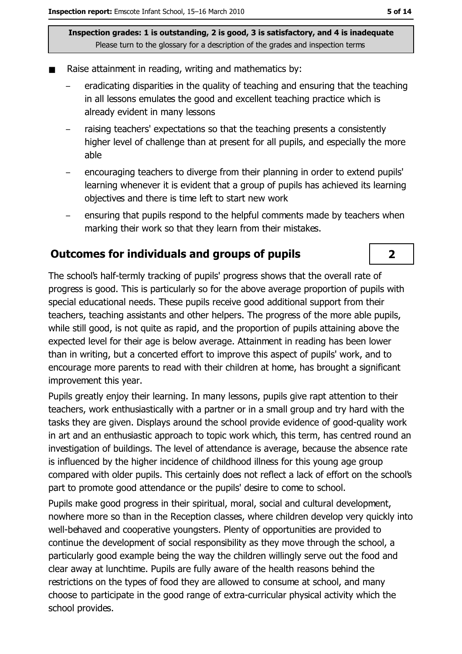- Raise attainment in reading, writing and mathematics by:
	- eradicating disparities in the quality of teaching and ensuring that the teaching in all lessons emulates the good and excellent teaching practice which is already evident in many lessons
	- raising teachers' expectations so that the teaching presents a consistently higher level of challenge than at present for all pupils, and especially the more able
	- encouraging teachers to diverge from their planning in order to extend pupils' learning whenever it is evident that a group of pupils has achieved its learning objectives and there is time left to start new work
	- ensuring that pupils respond to the helpful comments made by teachers when marking their work so that they learn from their mistakes.

#### **Outcomes for individuals and groups of pupils**

The school's half-termly tracking of pupils' progress shows that the overall rate of progress is good. This is particularly so for the above average proportion of pupils with special educational needs. These pupils receive good additional support from their teachers, teaching assistants and other helpers. The progress of the more able pupils, while still good, is not guite as rapid, and the proportion of pupils attaining above the expected level for their age is below average. Attainment in reading has been lower than in writing, but a concerted effort to improve this aspect of pupils' work, and to encourage more parents to read with their children at home, has brought a significant improvement this year.

Pupils greatly enjoy their learning. In many lessons, pupils give rapt attention to their teachers, work enthusiastically with a partner or in a small group and try hard with the tasks they are given. Displays around the school provide evidence of good-quality work in art and an enthusiastic approach to topic work which, this term, has centred round an investigation of buildings. The level of attendance is average, because the absence rate is influenced by the higher incidence of childhood illness for this young age group compared with older pupils. This certainly does not reflect a lack of effort on the school's part to promote good attendance or the pupils' desire to come to school.

Pupils make good progress in their spiritual, moral, social and cultural development, nowhere more so than in the Reception classes, where children develop very quickly into well-behaved and cooperative youngsters. Plenty of opportunities are provided to continue the development of social responsibility as they move through the school, a particularly good example being the way the children willingly serve out the food and clear away at lunchtime. Pupils are fully aware of the health reasons behind the restrictions on the types of food they are allowed to consume at school, and many choose to participate in the good range of extra-curricular physical activity which the school provides.

## $\overline{2}$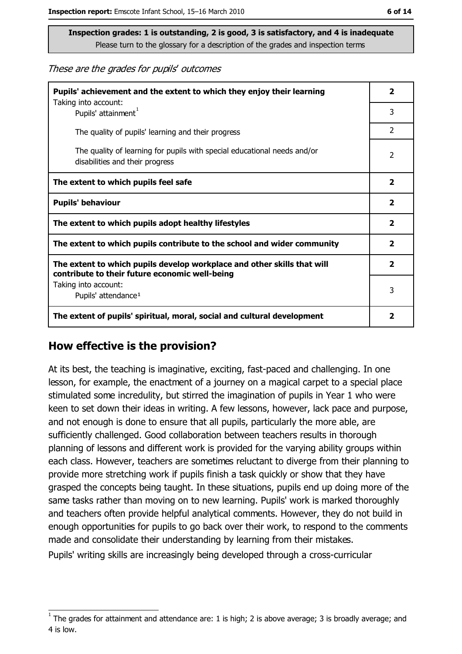These are the grades for pupils' outcomes

| Pupils' achievement and the extent to which they enjoy their learning                                                     |                         |
|---------------------------------------------------------------------------------------------------------------------------|-------------------------|
| Taking into account:<br>Pupils' attainment <sup>1</sup>                                                                   | 3                       |
| The quality of pupils' learning and their progress                                                                        | $\overline{2}$          |
| The quality of learning for pupils with special educational needs and/or<br>disabilities and their progress               | 2                       |
| The extent to which pupils feel safe                                                                                      | $\overline{\mathbf{2}}$ |
| <b>Pupils' behaviour</b>                                                                                                  |                         |
| The extent to which pupils adopt healthy lifestyles                                                                       | $\overline{\mathbf{2}}$ |
| The extent to which pupils contribute to the school and wider community                                                   |                         |
| The extent to which pupils develop workplace and other skills that will<br>contribute to their future economic well-being |                         |
| Taking into account:<br>Pupils' attendance <sup>1</sup>                                                                   |                         |
| The extent of pupils' spiritual, moral, social and cultural development                                                   | $\overline{\mathbf{2}}$ |

#### How effective is the provision?

At its best, the teaching is imaginative, exciting, fast-paced and challenging. In one lesson, for example, the enactment of a journey on a magical carpet to a special place stimulated some incredulity, but stirred the imagination of pupils in Year 1 who were keen to set down their ideas in writing. A few lessons, however, lack pace and purpose, and not enough is done to ensure that all pupils, particularly the more able, are sufficiently challenged. Good collaboration between teachers results in thorough planning of lessons and different work is provided for the varying ability groups within each class. However, teachers are sometimes reluctant to diverge from their planning to provide more stretching work if pupils finish a task quickly or show that they have grasped the concepts being taught. In these situations, pupils end up doing more of the same tasks rather than moving on to new learning. Pupils' work is marked thoroughly and teachers often provide helpful analytical comments. However, they do not build in enough opportunities for pupils to go back over their work, to respond to the comments made and consolidate their understanding by learning from their mistakes. Pupils' writing skills are increasingly being developed through a cross-curricular

The grades for attainment and attendance are: 1 is high; 2 is above average; 3 is broadly average; and 4 is low.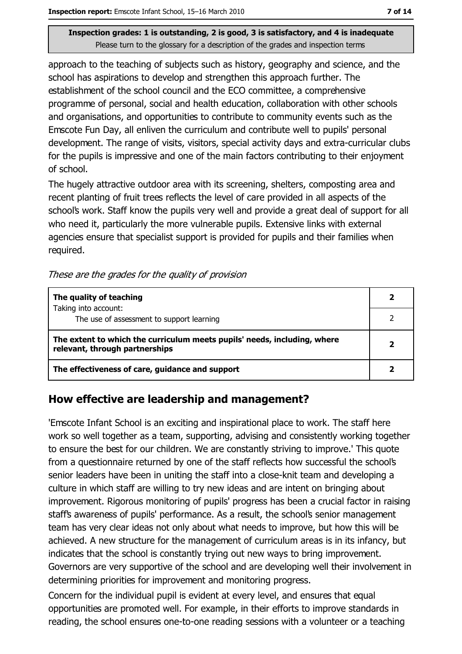approach to the teaching of subjects such as history, geography and science, and the school has aspirations to develop and strengthen this approach further. The establishment of the school council and the ECO committee, a comprehensive programme of personal, social and health education, collaboration with other schools and organisations, and opportunities to contribute to community events such as the Emscote Fun Day, all enliven the curriculum and contribute well to pupils' personal development. The range of visits, visitors, special activity days and extra-curricular clubs for the pupils is impressive and one of the main factors contributing to their enjoyment of school.

The hugely attractive outdoor area with its screening, shelters, composting area and recent planting of fruit trees reflects the level of care provided in all aspects of the school's work. Staff know the pupils very well and provide a great deal of support for all who need it, particularly the more vulnerable pupils. Extensive links with external agencies ensure that specialist support is provided for pupils and their families when required.

These are the grades for the quality of provision

| The quality of teaching                                                                                    |  |
|------------------------------------------------------------------------------------------------------------|--|
| Taking into account:<br>The use of assessment to support learning                                          |  |
|                                                                                                            |  |
| The extent to which the curriculum meets pupils' needs, including, where<br>relevant, through partnerships |  |
| The effectiveness of care, guidance and support                                                            |  |

## How effective are leadership and management?

'Emscote Infant School is an exciting and inspirational place to work. The staff here work so well together as a team, supporting, advising and consistently working together to ensure the best for our children. We are constantly striving to improve.' This quote from a questionnaire returned by one of the staff reflects how successful the school's senior leaders have been in uniting the staff into a close-knit team and developing a culture in which staff are willing to try new ideas and are intent on bringing about improvement. Rigorous monitoring of pupils' progress has been a crucial factor in raising staff's awareness of pupils' performance. As a result, the school's senior management team has very clear ideas not only about what needs to improve, but how this will be achieved. A new structure for the management of curriculum areas is in its infancy, but indicates that the school is constantly trying out new ways to bring improvement. Governors are very supportive of the school and are developing well their involvement in determining priorities for improvement and monitoring progress.

Concern for the individual pupil is evident at every level, and ensures that equal opportunities are promoted well. For example, in their efforts to improve standards in reading, the school ensures one-to-one reading sessions with a volunteer or a teaching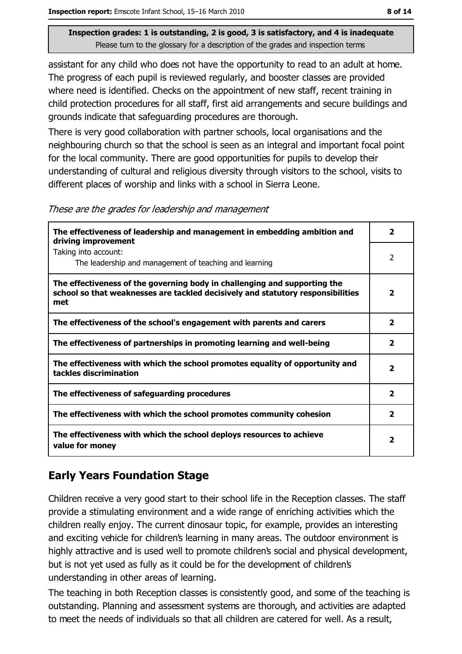assistant for any child who does not have the opportunity to read to an adult at home. The progress of each pupil is reviewed regularly, and booster classes are provided where need is identified. Checks on the appointment of new staff, recent training in child protection procedures for all staff, first aid arrangements and secure buildings and grounds indicate that safeguarding procedures are thorough.

There is very good collaboration with partner schools, local organisations and the neighbouring church so that the school is seen as an integral and important focal point for the local community. There are good opportunities for pupils to develop their understanding of cultural and religious diversity through visitors to the school, visits to different places of worship and links with a school in Sierra Leone.

These are the grades for leadership and management

| The effectiveness of leadership and management in embedding ambition and<br>driving improvement                                                                     | $\mathbf{2}$            |
|---------------------------------------------------------------------------------------------------------------------------------------------------------------------|-------------------------|
| Taking into account:<br>The leadership and management of teaching and learning                                                                                      | 2                       |
| The effectiveness of the governing body in challenging and supporting the<br>school so that weaknesses are tackled decisively and statutory responsibilities<br>met | $\overline{\mathbf{2}}$ |
| The effectiveness of the school's engagement with parents and carers                                                                                                | $\overline{\mathbf{2}}$ |
| The effectiveness of partnerships in promoting learning and well-being                                                                                              | $\overline{\mathbf{2}}$ |
| The effectiveness with which the school promotes equality of opportunity and<br>tackles discrimination                                                              | 2                       |
| The effectiveness of safeguarding procedures                                                                                                                        | $\overline{\mathbf{2}}$ |
| The effectiveness with which the school promotes community cohesion                                                                                                 | $\overline{2}$          |
| The effectiveness with which the school deploys resources to achieve<br>value for money                                                                             | 2                       |

# **Early Years Foundation Stage**

Children receive a very good start to their school life in the Reception classes. The staff provide a stimulating environment and a wide range of enriching activities which the children really enjoy. The current dinosaur topic, for example, provides an interesting and exciting vehicle for children's learning in many areas. The outdoor environment is highly attractive and is used well to promote children's social and physical development, but is not yet used as fully as it could be for the development of children's understanding in other areas of learning.

The teaching in both Reception classes is consistently good, and some of the teaching is outstanding. Planning and assessment systems are thorough, and activities are adapted to meet the needs of individuals so that all children are catered for well. As a result,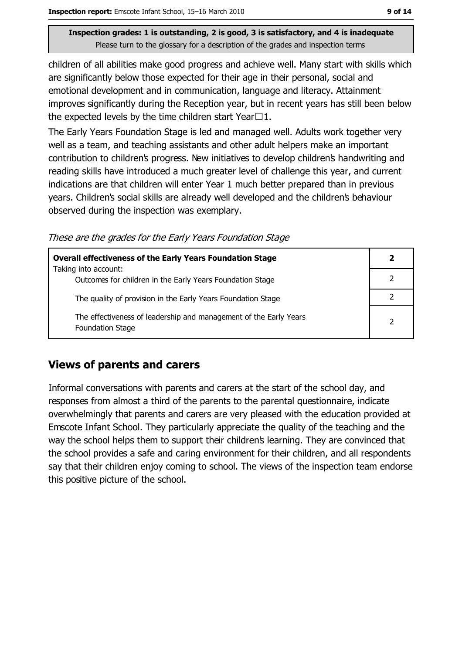children of all abilities make good progress and achieve well. Many start with skills which are significantly below those expected for their age in their personal, social and emotional development and in communication, language and literacy. Attainment improves significantly during the Reception year, but in recent years has still been below the expected levels by the time children start Year $\Box$ 1.

The Early Years Foundation Stage is led and managed well. Adults work together very well as a team, and teaching assistants and other adult helpers make an important contribution to children's progress. New initiatives to develop children's handwriting and reading skills have introduced a much greater level of challenge this year, and current indications are that children will enter Year 1 much better prepared than in previous years. Children's social skills are already well developed and the children's behaviour observed during the inspection was exemplary.

These are the grades for the Early Years Foundation Stage

| <b>Overall effectiveness of the Early Years Foundation Stage</b>                             |  |
|----------------------------------------------------------------------------------------------|--|
| Taking into account:<br>Outcomes for children in the Early Years Foundation Stage            |  |
| The quality of provision in the Early Years Foundation Stage                                 |  |
| The effectiveness of leadership and management of the Early Years<br><b>Foundation Stage</b> |  |

## **Views of parents and carers**

Informal conversations with parents and carers at the start of the school day, and responses from almost a third of the parents to the parental questionnaire, indicate overwhelmingly that parents and carers are very pleased with the education provided at Emscote Infant School. They particularly appreciate the quality of the teaching and the way the school helps them to support their children's learning. They are convinced that the school provides a safe and caring environment for their children, and all respondents say that their children enjoy coming to school. The views of the inspection team endorse this positive picture of the school.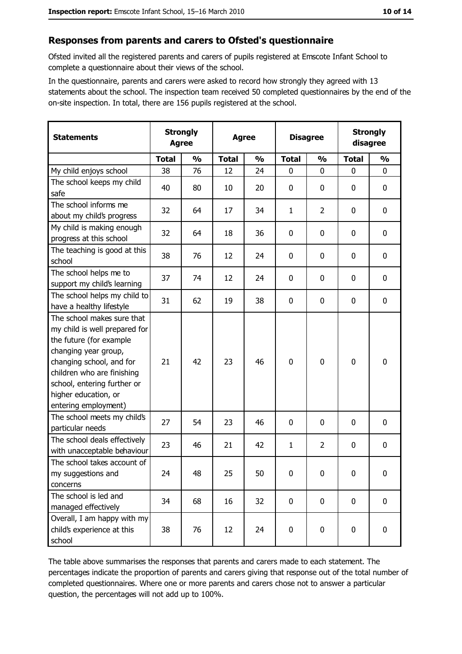#### Responses from parents and carers to Ofsted's questionnaire

Ofsted invited all the registered parents and carers of pupils registered at Emscote Infant School to complete a questionnaire about their views of the school.

In the questionnaire, parents and carers were asked to record how strongly they agreed with 13 statements about the school. The inspection team received 50 completed questionnaires by the end of the on-site inspection. In total, there are 156 pupils registered at the school.

| <b>Statements</b>                                                                                                                                                                                                                                       | <b>Strongly</b><br><b>Agree</b> |               | <b>Agree</b> |               | <b>Disagree</b> |                  | <b>Strongly</b><br>disagree |               |
|---------------------------------------------------------------------------------------------------------------------------------------------------------------------------------------------------------------------------------------------------------|---------------------------------|---------------|--------------|---------------|-----------------|------------------|-----------------------------|---------------|
|                                                                                                                                                                                                                                                         | <b>Total</b>                    | $\frac{0}{0}$ | <b>Total</b> | $\frac{0}{0}$ | <b>Total</b>    | $\frac{0}{0}$    | <b>Total</b>                | $\frac{0}{0}$ |
| My child enjoys school                                                                                                                                                                                                                                  | 38                              | 76            | 12           | 24            | 0               | 0                | 0                           | 0             |
| The school keeps my child<br>safe                                                                                                                                                                                                                       | 40                              | 80            | 10           | 20            | 0               | 0                | 0                           | 0             |
| The school informs me<br>about my child's progress                                                                                                                                                                                                      | 32                              | 64            | 17           | 34            | $\mathbf{1}$    | $\overline{2}$   | 0                           | 0             |
| My child is making enough<br>progress at this school                                                                                                                                                                                                    | 32                              | 64            | 18           | 36            | $\mathbf 0$     | 0                | 0                           | 0             |
| The teaching is good at this<br>school                                                                                                                                                                                                                  | 38                              | 76            | 12           | 24            | $\mathbf 0$     | 0                | 0                           | 0             |
| The school helps me to<br>support my child's learning                                                                                                                                                                                                   | 37                              | 74            | 12           | 24            | $\mathbf 0$     | 0                | 0                           | $\mathbf 0$   |
| The school helps my child to<br>have a healthy lifestyle                                                                                                                                                                                                | 31                              | 62            | 19           | 38            | $\mathbf 0$     | $\boldsymbol{0}$ | 0                           | $\mathbf 0$   |
| The school makes sure that<br>my child is well prepared for<br>the future (for example<br>changing year group,<br>changing school, and for<br>children who are finishing<br>school, entering further or<br>higher education, or<br>entering employment) | 21                              | 42            | 23           | 46            | $\mathbf 0$     | 0                | 0                           | 0             |
| The school meets my child's<br>particular needs                                                                                                                                                                                                         | 27                              | 54            | 23           | 46            | $\mathbf 0$     | 0                | 0                           | 0             |
| The school deals effectively<br>with unacceptable behaviour                                                                                                                                                                                             | 23                              | 46            | 21           | 42            | $\mathbf{1}$    | $\overline{2}$   | 0                           | 0             |
| The school takes account of<br>my suggestions and<br>concerns                                                                                                                                                                                           | 24                              | 48            | 25           | 50            | $\mathbf 0$     | $\boldsymbol{0}$ | 0                           | 0             |
| The school is led and<br>managed effectively                                                                                                                                                                                                            | 34                              | 68            | 16           | 32            | $\mathbf 0$     | $\mathbf 0$      | $\mathbf 0$                 | 0             |
| Overall, I am happy with my<br>child's experience at this<br>school                                                                                                                                                                                     | 38                              | 76            | 12           | 24            | $\pmb{0}$       | 0                | 0                           | $\pmb{0}$     |

The table above summarises the responses that parents and carers made to each statement. The percentages indicate the proportion of parents and carers giving that response out of the total number of completed questionnaires. Where one or more parents and carers chose not to answer a particular question, the percentages will not add up to 100%.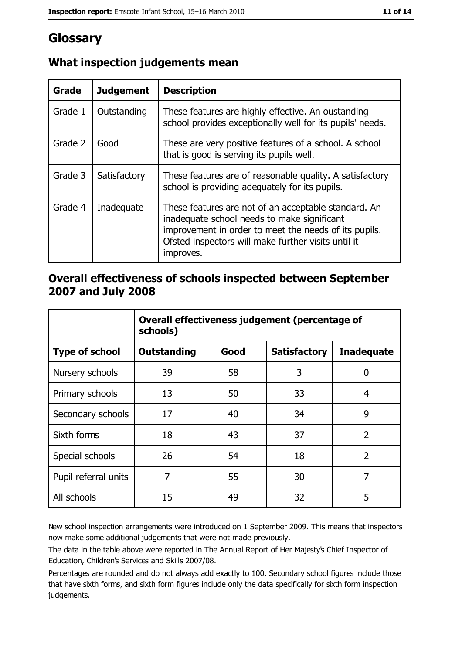# Glossary

| <b>Grade</b> | <b>Judgement</b> | <b>Description</b>                                                                                                                                                                                                               |
|--------------|------------------|----------------------------------------------------------------------------------------------------------------------------------------------------------------------------------------------------------------------------------|
| Grade 1      | Outstanding      | These features are highly effective. An oustanding<br>school provides exceptionally well for its pupils' needs.                                                                                                                  |
| Grade 2      | Good             | These are very positive features of a school. A school<br>that is good is serving its pupils well.                                                                                                                               |
| Grade 3      | Satisfactory     | These features are of reasonable quality. A satisfactory<br>school is providing adequately for its pupils.                                                                                                                       |
| Grade 4      | Inadequate       | These features are not of an acceptable standard. An<br>inadequate school needs to make significant<br>improvement in order to meet the needs of its pupils.<br>Ofsted inspectors will make further visits until it<br>improves. |

# What inspection judgements mean

## Overall effectiveness of schools inspected between September 2007 and July 2008

|                       | Overall effectiveness judgement (percentage of<br>schools) |      |                     |                   |
|-----------------------|------------------------------------------------------------|------|---------------------|-------------------|
| <b>Type of school</b> | Outstanding                                                | Good | <b>Satisfactory</b> | <b>Inadequate</b> |
| Nursery schools       | 39                                                         | 58   | 3                   | 0                 |
| Primary schools       | 13                                                         | 50   | 33                  | 4                 |
| Secondary schools     | 17                                                         | 40   | 34                  | 9                 |
| Sixth forms           | 18                                                         | 43   | 37                  | $\overline{2}$    |
| Special schools       | 26                                                         | 54   | 18                  | $\overline{2}$    |
| Pupil referral units  | 7                                                          | 55   | 30                  | 7                 |
| All schools           | 15                                                         | 49   | 32                  | 5                 |

New school inspection arrangements were introduced on 1 September 2009. This means that inspectors now make some additional judgements that were not made previously.

The data in the table above were reported in The Annual Report of Her Majesty's Chief Inspector of Education, Children's Services and Skills 2007/08.

Percentages are rounded and do not always add exactly to 100. Secondary school figures include those that have sixth forms, and sixth form figures include only the data specifically for sixth form inspection judgements.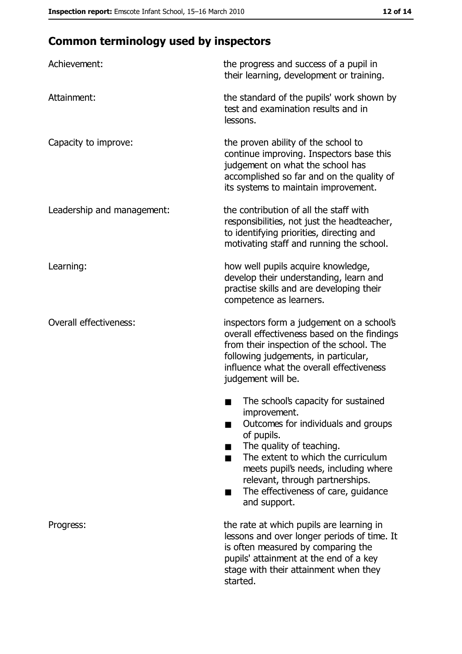# **Common terminology used by inspectors**

| Achievement:                  | the progress and success of a pupil in<br>their learning, development or training.                                                                                                                                                                                                                           |
|-------------------------------|--------------------------------------------------------------------------------------------------------------------------------------------------------------------------------------------------------------------------------------------------------------------------------------------------------------|
| Attainment:                   | the standard of the pupils' work shown by<br>test and examination results and in<br>lessons.                                                                                                                                                                                                                 |
| Capacity to improve:          | the proven ability of the school to<br>continue improving. Inspectors base this<br>judgement on what the school has<br>accomplished so far and on the quality of<br>its systems to maintain improvement.                                                                                                     |
| Leadership and management:    | the contribution of all the staff with<br>responsibilities, not just the headteacher,<br>to identifying priorities, directing and<br>motivating staff and running the school.                                                                                                                                |
| Learning:                     | how well pupils acquire knowledge,<br>develop their understanding, learn and<br>practise skills and are developing their<br>competence as learners.                                                                                                                                                          |
| <b>Overall effectiveness:</b> | inspectors form a judgement on a school's<br>overall effectiveness based on the findings<br>from their inspection of the school. The<br>following judgements, in particular,<br>influence what the overall effectiveness<br>judgement will be.                                                               |
|                               | The school's capacity for sustained<br>improvement.<br>Outcomes for individuals and groups<br>of pupils.<br>The quality of teaching.<br>The extent to which the curriculum<br>meets pupil's needs, including where<br>relevant, through partnerships.<br>The effectiveness of care, guidance<br>and support. |
| Progress:                     | the rate at which pupils are learning in<br>lessons and over longer periods of time. It<br>is often measured by comparing the<br>pupils' attainment at the end of a key<br>stage with their attainment when they<br>started.                                                                                 |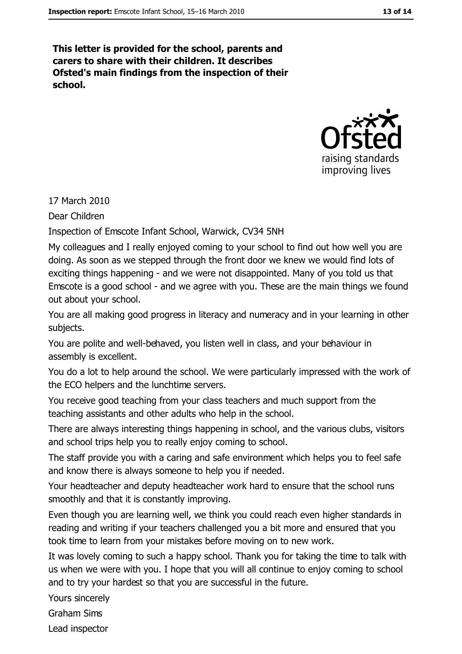This letter is provided for the school, parents and carers to share with their children. It describes Ofsted's main findings from the inspection of their school.



17 March 2010

Dear Children

Inspection of Emscote Infant School, Warwick, CV34 5NH

My colleagues and I really enjoyed coming to your school to find out how well you are doing. As soon as we stepped through the front door we knew we would find lots of exciting things happening - and we were not disappointed. Many of you told us that Emscote is a good school - and we agree with you. These are the main things we found out about your school.

You are all making good progress in literacy and numeracy and in your learning in other subjects.

You are polite and well-behaved, you listen well in class, and your behaviour in assembly is excellent.

You do a lot to help around the school. We were particularly impressed with the work of the ECO helpers and the lunchtime servers.

You receive good teaching from your class teachers and much support from the teaching assistants and other adults who help in the school.

There are always interesting things happening in school, and the various clubs, visitors and school trips help you to really enjoy coming to school.

The staff provide you with a caring and safe environment which helps you to feel safe and know there is always someone to help you if needed.

Your headteacher and deputy headteacher work hard to ensure that the school runs smoothly and that it is constantly improving.

Even though you are learning well, we think you could reach even higher standards in reading and writing if your teachers challenged you a bit more and ensured that you took time to learn from your mistakes before moving on to new work.

It was lovely coming to such a happy school. Thank you for taking the time to talk with us when we were with you. I hope that you will all continue to enjoy coming to school and to try your hardest so that you are successful in the future.

Yours sincerely

**Graham Sims** 

Lead inspector